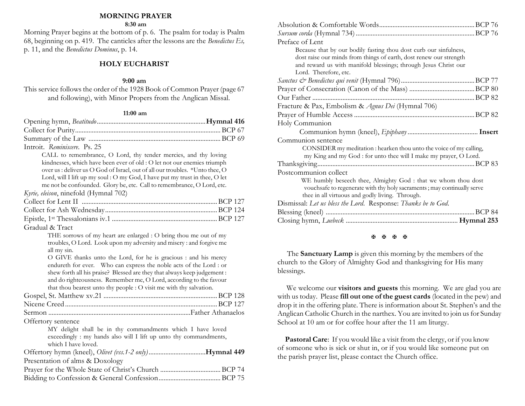#### **MORNING PRAYER**

**8:30 am**

Morning Prayer begins at the bottom of p. 6. The psalm for today is Psalm 68, beginning on p. 419. The canticles after the lessons are the *Benedictus Es,* p. 11, and the *Benedictus Dominus*, p. 14.

## **HOLY EUCHARIST**

### **9:00 am**

This service follows the order of the 1928 Book of Common Prayer (page 67 and following), with Minor Propers from the Anglican Missal.

#### **11:00 am**

| Introit. Reminiscere. Ps. 25                                                                                                                                                                                                                                                                                                                                                                                                 |
|------------------------------------------------------------------------------------------------------------------------------------------------------------------------------------------------------------------------------------------------------------------------------------------------------------------------------------------------------------------------------------------------------------------------------|
| CALL to remembrance, O Lord, thy tender mercies, and thy loving<br>kindnesses, which have been ever of old : O let not our enemies triumph<br>over us : deliver us O God of Israel, out of all our troubles. *Unto thee, O<br>Lord, will I lift up my soul : O my God, I have put my trust in thee, O let<br>me not be confounded. Glory be, etc. Call to remembrance, O Lord, etc.<br>Kyrie, eleison, ninefold (Hymnal 702) |
| Gradual & Tract                                                                                                                                                                                                                                                                                                                                                                                                              |
| THE sorrows of my heart are enlarged : O bring thou me out of my<br>troubles, O Lord. Look upon my adversity and misery : and forgive me<br>all my sin.                                                                                                                                                                                                                                                                      |
| O GIVE thanks unto the Lord, for he is gracious : and his mercy<br>endureth for ever. Who can express the noble acts of the Lord : or<br>shew forth all his praise? Blessed are they that always keep judgement:<br>and do righteousness. Remember me, O Lord, according to the favour<br>that thou bearest unto thy people : O visit me with thy salvation.                                                                 |
|                                                                                                                                                                                                                                                                                                                                                                                                                              |
|                                                                                                                                                                                                                                                                                                                                                                                                                              |
|                                                                                                                                                                                                                                                                                                                                                                                                                              |
| Offertory sentence<br>MY delight shall be in thy commandments which I have loved<br>exceedingly : my hands also will I lift up unto thy commandments,<br>which I have loved.                                                                                                                                                                                                                                                 |
|                                                                                                                                                                                                                                                                                                                                                                                                                              |
| Presentation of alms & Doxology                                                                                                                                                                                                                                                                                                                                                                                              |
|                                                                                                                                                                                                                                                                                                                                                                                                                              |
|                                                                                                                                                                                                                                                                                                                                                                                                                              |

| Preface of Lent                                                         |  |
|-------------------------------------------------------------------------|--|
| Because that by our bodily fasting thou dost curb our sinfulness,       |  |
| dost raise our minds from things of earth, dost renew our strength      |  |
| and reward us with manifold blessings; through Jesus Christ our         |  |
| Lord. Therefore, etc.                                                   |  |
|                                                                         |  |
|                                                                         |  |
|                                                                         |  |
| Fracture & Pax, Embolism & Agnus Dei (Hymnal 706)                       |  |
|                                                                         |  |
|                                                                         |  |
| Holy Communion                                                          |  |
|                                                                         |  |
| Communion sentence                                                      |  |
| CONSIDER my meditation : hearken thou unto the voice of my calling,     |  |
| my King and my God : for unto thee will I make my prayer, O Lord.       |  |
|                                                                         |  |
| Postcommunion collect                                                   |  |
| WE humbly beseech thee, Almighty God : that we whom thou dost           |  |
| vouchsafe to regenerate with thy holy sacraments; may continually serve |  |
| thee in all virtuous and godly living. Through.                         |  |
| Dismissal: Let us bless the Lord. Response: Thanks be to God.           |  |
|                                                                         |  |

#### **H H H H**

 The **Sanctuary Lamp** is given this morning by the members of the church to the Glory of Almighty God and thanksgiving for His many blessings.

We welcome our **visitors and guests** this morning. We are glad you are with us today. Please **fill out one of the guest cards** (located in the pew) and drop it in the offering plate. There is information about St. Stephen's and the Anglican Catholic Church in the narthex. You are invited to join us for Sunday School at 10 am or for coffee hour after the 11 am liturgy.

 **Pastoral Care**: If you would like a visit from the clergy, or if you know of someone who is sick or shut in, or if you would like someone put on the parish prayer list, please contact the Church office.